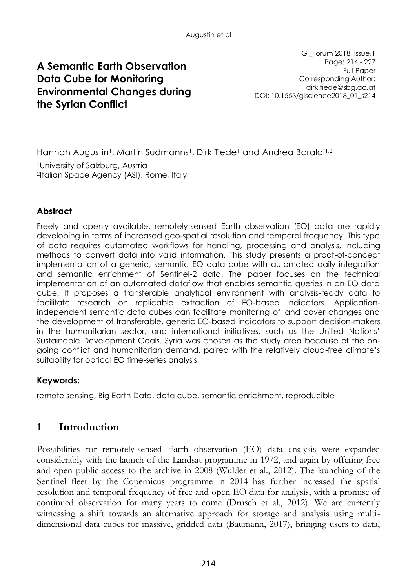# **A Semantic Earth Observation Data Cube for Monitoring Environmental Changes during the Syrian Conflict**

GI\_Forum 2018, Issue.1 Page: 214 - 227 Full Paper Corresponding Author: dirk.tiede@sbg.ac.at DOI: 10.1553/giscience2018\_01\_s214

Hannah Augustin<sup>1</sup>, Martin Sudmanns<sup>1</sup>, Dirk Tiede<sup>1</sup> and Andrea Baraldi<sup>1,2</sup>

<sup>1</sup>University of Salzburg, Austria 2 Italian Space Agency (ASI), Rome, Italy

## **Abstract**

Freely and openly available, remotely-sensed Earth observation (EO) data are rapidly developing in terms of increased geo-spatial resolution and temporal frequency. This type of data requires automated workflows for handling, processing and analysis, including methods to convert data into valid information. This study presents a proof-of-concept implementation of a generic, semantic EO data cube with automated daily integration and semantic enrichment of Sentinel-2 data. The paper focuses on the technical implementation of an automated dataflow that enables semantic queries in an EO data cube. It proposes a transferable analytical environment with analysis-ready data to facilitate research on replicable extraction of EO-based indicators. Applicationindependent semantic data cubes can facilitate monitoring of land cover changes and the development of transferable, generic EO-based indicators to support decision-makers in the humanitarian sector, and international initiatives, such as the United Nations' Sustainable Development Goals. Syria was chosen as the study area because of the ongoing conflict and humanitarian demand, paired with the relatively cloud-free climate's suitability for optical EO time-series analysis.

#### **Keywords:**

remote sensing, Big Earth Data, data cube, semantic enrichment, reproducible

# **1 Introduction**

Possibilities for remotely-sensed Earth observation (EO) data analysis were expanded considerably with the launch of the Landsat programme in 1972, and again by offering free and open public access to the archive in 2008 (Wulder et al., 2012). The launching of the Sentinel fleet by the Copernicus programme in 2014 has further increased the spatial resolution and temporal frequency of free and open EO data for analysis, with a promise of continued observation for many years to come (Drusch et al., 2012). We are currently witnessing a shift towards an alternative approach for storage and analysis using multidimensional data cubes for massive, gridded data (Baumann, 2017), bringing users to data,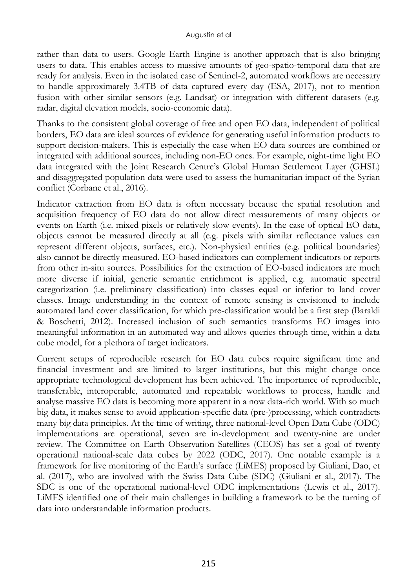rather than data to users. Google Earth Engine is another approach that is also bringing users to data. This enables access to massive amounts of geo-spatio-temporal data that are ready for analysis. Even in the isolated case of Sentinel-2, automated workflows are necessary to handle approximately 3.4TB of data captured every day (ESA, 2017), not to mention fusion with other similar sensors (e.g. Landsat) or integration with different datasets (e.g. radar, digital elevation models, socio-economic data).

Thanks to the consistent global coverage of free and open EO data, independent of political borders, EO data are ideal sources of evidence for generating useful information products to support decision-makers. This is especially the case when EO data sources are combined or integrated with additional sources, including non-EO ones. For example, night-time light EO data integrated with the Joint Research Centre's Global Human Settlement Layer (GHSL) and disaggregated population data were used to assess the humanitarian impact of the Syrian conflict (Corbane et al., 2016).

Indicator extraction from EO data is often necessary because the spatial resolution and acquisition frequency of EO data do not allow direct measurements of many objects or events on Earth (i.e. mixed pixels or relatively slow events). In the case of optical EO data, objects cannot be measured directly at all (e.g. pixels with similar reflectance values can represent different objects, surfaces, etc.). Non-physical entities (e.g. political boundaries) also cannot be directly measured. EO-based indicators can complement indicators or reports from other in-situ sources. Possibilities for the extraction of EO-based indicators are much more diverse if initial, generic semantic enrichment is applied, e.g. automatic spectral categorization (i.e. preliminary classification) into classes equal or inferior to land cover classes. Image understanding in the context of remote sensing is envisioned to include automated land cover classification, for which pre-classification would be a first step (Baraldi & Boschetti, 2012). Increased inclusion of such semantics transforms EO images into meaningful information in an automated way and allows queries through time, within a data cube model, for a plethora of target indicators.

Current setups of reproducible research for EO data cubes require significant time and financial investment and are limited to larger institutions, but this might change once appropriate technological development has been achieved. The importance of reproducible, transferable, interoperable, automated and repeatable workflows to process, handle and analyse massive EO data is becoming more apparent in a now data-rich world. With so much big data, it makes sense to avoid application-specific data (pre-)processing, which contradicts many big data principles. At the time of writing, three national-level Open Data Cube (ODC) implementations are operational, seven are in-development and twenty-nine are under review. The Committee on Earth Observation Satellites (CEOS) has set a goal of twenty operational national-scale data cubes by 2022 (ODC, 2017). One notable example is a framework for live monitoring of the Earth's surface (LiMES) proposed by Giuliani, Dao, et al. (2017), who are involved with the Swiss Data Cube (SDC) (Giuliani et al., 2017). The SDC is one of the operational national-level ODC implementations (Lewis et al., 2017). LiMES identified one of their main challenges in building a framework to be the turning of data into understandable information products.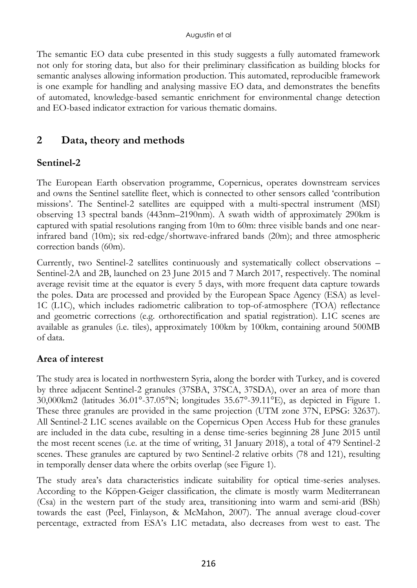The semantic EO data cube presented in this study suggests a fully automated framework not only for storing data, but also for their preliminary classification as building blocks for semantic analyses allowing information production. This automated, reproducible framework is one example for handling and analysing massive EO data, and demonstrates the benefits of automated, knowledge-based semantic enrichment for environmental change detection and EO-based indicator extraction for various thematic domains.

# **2 Data, theory and methods**

### **Sentinel-2**

The European Earth observation programme, Copernicus, operates downstream services and owns the Sentinel satellite fleet, which is connected to other sensors called 'contribution missions'. The Sentinel-2 satellites are equipped with a multi-spectral instrument (MSI) observing 13 spectral bands (443nm–2190nm). A swath width of approximately 290km is captured with spatial resolutions ranging from 10m to 60m: three visible bands and one nearinfrared band (10m); six red-edge/shortwave-infrared bands (20m); and three atmospheric correction bands (60m).

Currently, two Sentinel-2 satellites continuously and systematically collect observations – Sentinel-2A and 2B, launched on 23 June 2015 and 7 March 2017, respectively. The nominal average revisit time at the equator is every 5 days, with more frequent data capture towards the poles. Data are processed and provided by the European Space Agency (ESA) as level-1C (L1C), which includes radiometric calibration to top-of-atmosphere (TOA) reflectance and geometric corrections (e.g. orthorectification and spatial registration). L1C scenes are available as granules (i.e. tiles), approximately 100km by 100km, containing around 500MB of data.

#### **Area of interest**

The study area is located in northwestern Syria, along the border with Turkey, and is covered by three adjacent Sentinel-2 granules (37SBA, 37SCA, 37SDA), over an area of more than 30,000km2 (latitudes 36.01°-37.05°N; longitudes 35.67°-39.11°E), as depicted in Figure 1. These three granules are provided in the same projection (UTM zone 37N, EPSG: 32637). All Sentinel-2 L1C scenes available on the Copernicus Open Access Hub for these granules are included in the data cube, resulting in a dense time-series beginning 28 June 2015 until the most recent scenes (i.e. at the time of writing, 31 January 2018), a total of 479 Sentinel-2 scenes. These granules are captured by two Sentinel-2 relative orbits (78 and 121), resulting in temporally denser data where the orbits overlap (see Figure 1).

The study area's data characteristics indicate suitability for optical time-series analyses. According to the Köppen-Geiger classification, the climate is mostly warm Mediterranean (Csa) in the western part of the study area, transitioning into warm and semi-arid (BSh) towards the east (Peel, Finlayson, & McMahon, 2007). The annual average cloud-cover percentage, extracted from ESA's L1C metadata, also decreases from west to east. The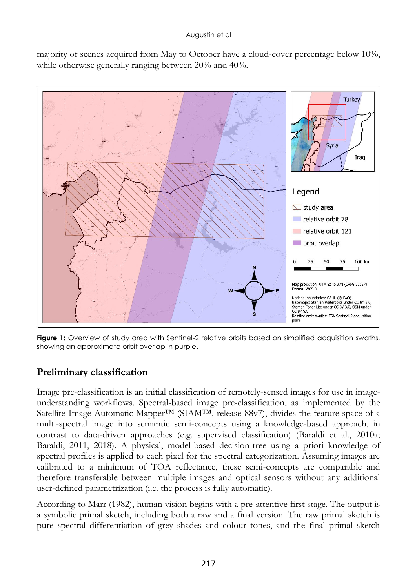majority of scenes acquired from May to October have a cloud-cover percentage below 10%, while otherwise generally ranging between 20% and 40%.



**Figure 1:** Overview of study area with Sentinel-2 relative orbits based on simplified acquisition swaths, showing an approximate orbit overlap in purple.

## **Preliminary classification**

Image pre-classification is an initial classification of remotely-sensed images for use in imageunderstanding workflows. Spectral-based image pre-classification, as implemented by the Satellite Image Automatic Mapper<sup>TM</sup> (SIAM<sup>TM</sup>, release 88v7), divides the feature space of a multi-spectral image into semantic semi-concepts using a knowledge-based approach, in contrast to data-driven approaches (e.g. supervised classification) (Baraldi et al., 2010a; Baraldi, 2011, 2018). A physical, model-based decision-tree using a priori knowledge of spectral profiles is applied to each pixel for the spectral categorization. Assuming images are calibrated to a minimum of TOA reflectance, these semi-concepts are comparable and therefore transferable between multiple images and optical sensors without any additional user-defined parametrization (i.e. the process is fully automatic).

According to Marr (1982), human vision begins with a pre-attentive first stage. The output is a symbolic primal sketch, including both a raw and a final version. The raw primal sketch is pure spectral differentiation of grey shades and colour tones, and the final primal sketch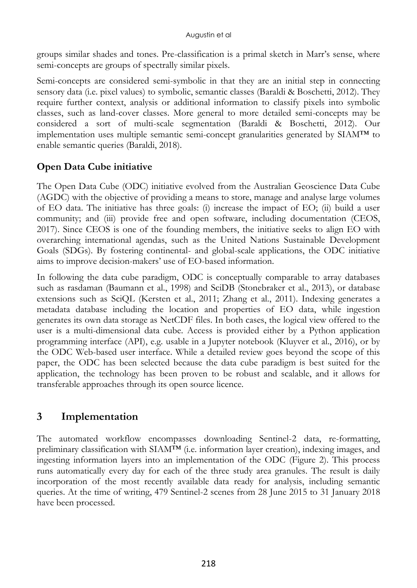groups similar shades and tones. Pre-classification is a primal sketch in Marr's sense, where semi-concepts are groups of spectrally similar pixels.

Semi-concepts are considered semi-symbolic in that they are an initial step in connecting sensory data (i.e. pixel values) to symbolic, semantic classes (Baraldi & Boschetti, 2012). They require further context, analysis or additional information to classify pixels into symbolic classes, such as land-cover classes. More general to more detailed semi-concepts may be considered a sort of multi-scale segmentation (Baraldi & Boschetti, 2012). Our implementation uses multiple semantic semi-concept granularities generated by SIAM™ to enable semantic queries (Baraldi, 2018).

## **Open Data Cube initiative**

The Open Data Cube (ODC) initiative evolved from the Australian Geoscience Data Cube (AGDC) with the objective of providing a means to store, manage and analyse large volumes of EO data. The initiative has three goals: (i) increase the impact of EO; (ii) build a user community; and (iii) provide free and open software, including documentation (CEOS, 2017). Since CEOS is one of the founding members, the initiative seeks to align EO with overarching international agendas, such as the United Nations Sustainable Development Goals (SDGs). By fostering continental- and global-scale applications, the ODC initiative aims to improve decision-makers' use of EO-based information.

In following the data cube paradigm, ODC is conceptually comparable to array databases such as rasdaman (Baumann et al., 1998) and SciDB (Stonebraker et al., 2013), or database extensions such as SciQL (Kersten et al., 2011; Zhang et al., 2011). Indexing generates a metadata database including the location and properties of EO data, while ingestion generates its own data storage as NetCDF files. In both cases, the logical view offered to the user is a multi-dimensional data cube. Access is provided either by a Python application programming interface (API), e.g. usable in a Jupyter notebook (Kluyver et al., 2016), or by the ODC Web-based user interface. While a detailed review goes beyond the scope of this paper, the ODC has been selected because the data cube paradigm is best suited for the application, the technology has been proven to be robust and scalable, and it allows for transferable approaches through its open source licence.

# **3 Implementation**

The automated workflow encompasses downloading Sentinel-2 data, re-formatting, preliminary classification with SIAM™ (i.e. information layer creation), indexing images, and ingesting information layers into an implementation of the ODC (Figure 2). This process runs automatically every day for each of the three study area granules. The result is daily incorporation of the most recently available data ready for analysis, including semantic queries. At the time of writing, 479 Sentinel-2 scenes from 28 June 2015 to 31 January 2018 have been processed.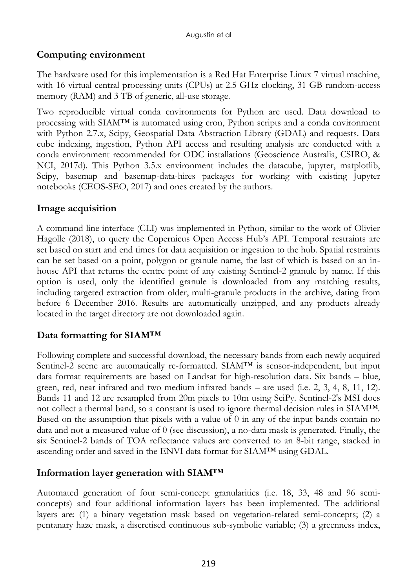## **Computing environment**

The hardware used for this implementation is a Red Hat Enterprise Linux 7 virtual machine, with 16 virtual central processing units (CPUs) at 2.5 GHz clocking, 31 GB random-access memory (RAM) and 3 TB of generic, all-use storage.

Two reproducible virtual conda environments for Python are used. Data download to processing with SIAM™ is automated using cron, Python scripts and a conda environment with Python 2.7.x, Scipy, Geospatial Data Abstraction Library (GDAL) and requests. Data cube indexing, ingestion, Python API access and resulting analysis are conducted with a conda environment recommended for ODC installations (Geoscience Australia, CSIRO, & NCI, 2017d). This Python 3.5.x environment includes the datacube, jupyter, matplotlib, Scipy, basemap and basemap-data-hires packages for working with existing Jupyter notebooks (CEOS-SEO, 2017) and ones created by the authors.

### **Image acquisition**

A command line interface (CLI) was implemented in Python, similar to the work of Olivier Hagolle (2018), to query the Copernicus Open Access Hub's API. Temporal restraints are set based on start and end times for data acquisition or ingestion to the hub. Spatial restraints can be set based on a point, polygon or granule name, the last of which is based on an inhouse API that returns the centre point of any existing Sentinel-2 granule by name. If this option is used, only the identified granule is downloaded from any matching results, including targeted extraction from older, multi-granule products in the archive, dating from before 6 December 2016. Results are automatically unzipped, and any products already located in the target directory are not downloaded again.

## **Data formatting for SIAM™**

Following complete and successful download, the necessary bands from each newly acquired Sentinel-2 scene are automatically re-formatted. SIAM™ is sensor-independent, but input data format requirements are based on Landsat for high-resolution data. Six bands – blue, green, red, near infrared and two medium infrared bands – are used (i.e. 2, 3, 4, 8, 11, 12). Bands 11 and 12 are resampled from 20m pixels to 10m using SciPy. Sentinel-2's MSI does not collect a thermal band, so a constant is used to ignore thermal decision rules in SIAM™. Based on the assumption that pixels with a value of 0 in any of the input bands contain no data and not a measured value of 0 (see discussion), a no-data mask is generated. Finally, the six Sentinel-2 bands of TOA reflectance values are converted to an 8-bit range, stacked in ascending order and saved in the ENVI data format for SIAM™ using GDAL.

#### **Information layer generation with SIAM™**

Automated generation of four semi-concept granularities (i.e. 18, 33, 48 and 96 semiconcepts) and four additional information layers has been implemented. The additional layers are: (1) a binary vegetation mask based on vegetation-related semi-concepts; (2) a pentanary haze mask, a discretised continuous sub-symbolic variable; (3) a greenness index,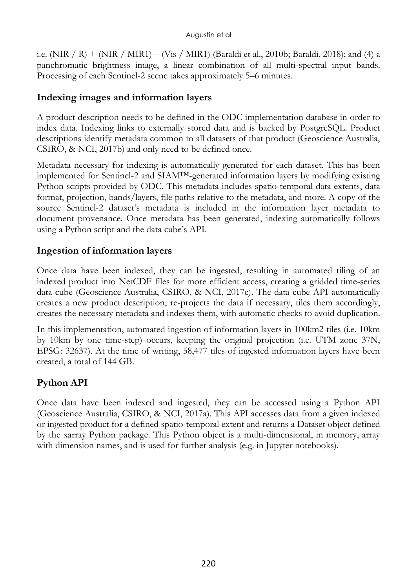i.e. (NIR / R) + (NIR / MIR1) – (Vis / MIR1) (Baraldi et al., 2010b; Baraldi, 2018); and (4) a panchromatic brightness image, a linear combination of all multi-spectral input bands. Processing of each Sentinel-2 scene takes approximately 5–6 minutes.

### **Indexing images and information layers**

A product description needs to be defined in the ODC implementation database in order to index data. Indexing links to externally stored data and is backed by PostgreSQL. Product descriptions identify metadata common to all datasets of that product (Geoscience Australia, CSIRO, & NCI, 2017b) and only need to be defined once.

Metadata necessary for indexing is automatically generated for each dataset. This has been implemented for Sentinel-2 and SIAM™-generated information layers by modifying existing Python scripts provided by ODC. This metadata includes spatio-temporal data extents, data format, projection, bands/layers, file paths relative to the metadata, and more. A copy of the source Sentinel-2 dataset's metadata is included in the information layer metadata to document provenance. Once metadata has been generated, indexing automatically follows using a Python script and the data cube's API.

### **Ingestion of information layers**

Once data have been indexed, they can be ingested, resulting in automated tiling of an indexed product into NetCDF files for more efficient access, creating a gridded time-series data cube (Geoscience Australia, CSIRO, & NCI, 2017c). The data cube API automatically creates a new product description, re-projects the data if necessary, tiles them accordingly, creates the necessary metadata and indexes them, with automatic checks to avoid duplication.

In this implementation, automated ingestion of information layers in 100km2 tiles (i.e. 10km by 10km by one time-step) occurs, keeping the original projection (i.e. UTM zone 37N, EPSG: 32637). At the time of writing, 58,477 tiles of ingested information layers have been created, a total of 144 GB.

# **Python API**

Once data have been indexed and ingested, they can be accessed using a Python API (Geoscience Australia, CSIRO, & NCI, 2017a). This API accesses data from a given indexed or ingested product for a defined spatio-temporal extent and returns a Dataset object defined by the xarray Python package. This Python object is a multi-dimensional, in memory, array with dimension names, and is used for further analysis (e.g. in Jupyter notebooks).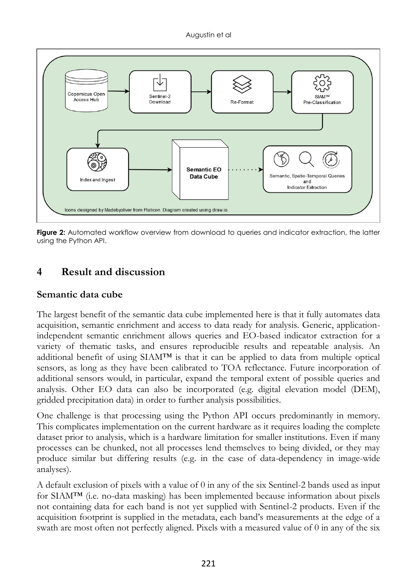

**Figure 2:** Automated workflow overview from download to queries and indicator extraction, the latter using the Python API.

# **4 Result and discussion**

### **Semantic data cube**

The largest benefit of the semantic data cube implemented here is that it fully automates data acquisition, semantic enrichment and access to data ready for analysis. Generic, applicationindependent semantic enrichment allows queries and EO-based indicator extraction for a variety of thematic tasks, and ensures reproducible results and repeatable analysis. An additional benefit of using  $SIAM<sup>TM</sup>$  is that it can be applied to data from multiple optical sensors, as long as they have been calibrated to TOA reflectance. Future incorporation of additional sensors would, in particular, expand the temporal extent of possible queries and analysis. Other EO data can also be incorporated (e.g. digital elevation model (DEM), gridded precipitation data) in order to further analysis possibilities.

One challenge is that processing using the Python API occurs predominantly in memory. This complicates implementation on the current hardware as it requires loading the complete dataset prior to analysis, which is a hardware limitation for smaller institutions. Even if many processes can be chunked, not all processes lend themselves to being divided, or they may produce similar but differing results (e.g. in the case of data-dependency in image-wide analyses).

A default exclusion of pixels with a value of 0 in any of the six Sentinel-2 bands used as input for SIAM™ (i.e. no-data masking) has been implemented because information about pixels not containing data for each band is not yet supplied with Sentinel-2 products. Even if the acquisition footprint is supplied in the metadata, each band's measurements at the edge of a swath are most often not perfectly aligned. Pixels with a measured value of 0 in any of the six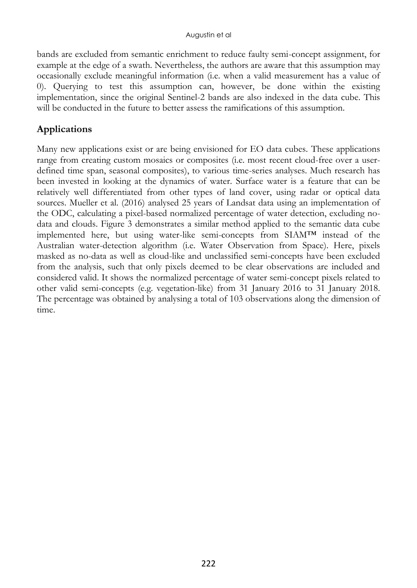bands are excluded from semantic enrichment to reduce faulty semi-concept assignment, for example at the edge of a swath. Nevertheless, the authors are aware that this assumption may occasionally exclude meaningful information (i.e. when a valid measurement has a value of 0). Querying to test this assumption can, however, be done within the existing implementation, since the original Sentinel-2 bands are also indexed in the data cube. This will be conducted in the future to better assess the ramifications of this assumption.

## **Applications**

Many new applications exist or are being envisioned for EO data cubes. These applications range from creating custom mosaics or composites (i.e. most recent cloud-free over a userdefined time span, seasonal composites), to various time-series analyses. Much research has been invested in looking at the dynamics of water. Surface water is a feature that can be relatively well differentiated from other types of land cover, using radar or optical data sources. Mueller et al. (2016) analysed 25 years of Landsat data using an implementation of the ODC, calculating a pixel-based normalized percentage of water detection, excluding nodata and clouds. Figure 3 demonstrates a similar method applied to the semantic data cube implemented here, but using water-like semi-concepts from SIAM™ instead of the Australian water-detection algorithm (i.e. Water Observation from Space). Here, pixels masked as no-data as well as cloud-like and unclassified semi-concepts have been excluded from the analysis, such that only pixels deemed to be clear observations are included and considered valid. It shows the normalized percentage of water semi-concept pixels related to other valid semi-concepts (e.g. vegetation-like) from 31 January 2016 to 31 January 2018. The percentage was obtained by analysing a total of 103 observations along the dimension of time.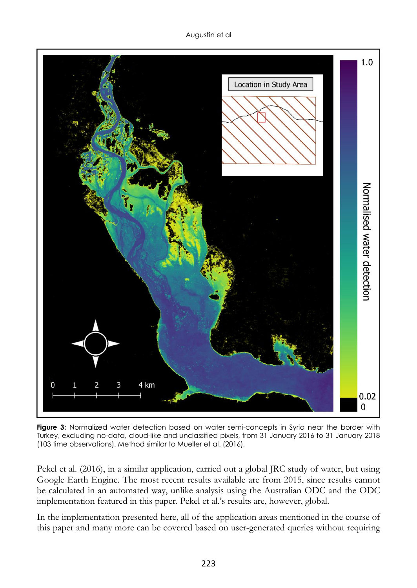

**Figure 3:** Normalized water detection based on water semi-concepts in Syria near the border with Turkey, excluding no-data, cloud-like and unclassified pixels, from 31 January 2016 to 31 January 2018 (103 time observations). Method similar to Mueller et al. (2016).

Pekel et al. (2016), in a similar application, carried out a global JRC study of water, but using Google Earth Engine. The most recent results available are from 2015, since results cannot be calculated in an automated way, unlike analysis using the Australian ODC and the ODC implementation featured in this paper. Pekel et al.'s results are, however, global.

In the implementation presented here, all of the application areas mentioned in the course of this paper and many more can be covered based on user-generated queries without requiring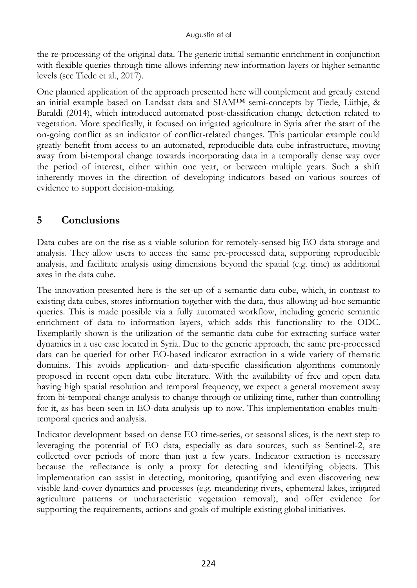the re-processing of the original data. The generic initial semantic enrichment in conjunction with flexible queries through time allows inferring new information layers or higher semantic levels (see Tiede et al., 2017).

One planned application of the approach presented here will complement and greatly extend an initial example based on Landsat data and SIAM™ semi-concepts by Tiede, Lüthje, & Baraldi (2014), which introduced automated post-classification change detection related to vegetation. More specifically, it focused on irrigated agriculture in Syria after the start of the on-going conflict as an indicator of conflict-related changes. This particular example could greatly benefit from access to an automated, reproducible data cube infrastructure, moving away from bi-temporal change towards incorporating data in a temporally dense way over the period of interest, either within one year, or between multiple years. Such a shift inherently moves in the direction of developing indicators based on various sources of evidence to support decision-making.

# **5 Conclusions**

Data cubes are on the rise as a viable solution for remotely-sensed big EO data storage and analysis. They allow users to access the same pre-processed data, supporting reproducible analysis, and facilitate analysis using dimensions beyond the spatial (e.g. time) as additional axes in the data cube.

The innovation presented here is the set-up of a semantic data cube, which, in contrast to existing data cubes, stores information together with the data, thus allowing ad-hoc semantic queries. This is made possible via a fully automated workflow, including generic semantic enrichment of data to information layers, which adds this functionality to the ODC. Exemplarily shown is the utilization of the semantic data cube for extracting surface water dynamics in a use case located in Syria. Due to the generic approach, the same pre-processed data can be queried for other EO-based indicator extraction in a wide variety of thematic domains. This avoids application- and data-specific classification algorithms commonly proposed in recent open data cube literature. With the availability of free and open data having high spatial resolution and temporal frequency, we expect a general movement away from bi-temporal change analysis to change through or utilizing time, rather than controlling for it, as has been seen in EO-data analysis up to now. This implementation enables multitemporal queries and analysis.

Indicator development based on dense EO time-series, or seasonal slices, is the next step to leveraging the potential of EO data, especially as data sources, such as Sentinel-2, are collected over periods of more than just a few years. Indicator extraction is necessary because the reflectance is only a proxy for detecting and identifying objects. This implementation can assist in detecting, monitoring, quantifying and even discovering new visible land-cover dynamics and processes (e.g. meandering rivers, ephemeral lakes, irrigated agriculture patterns or uncharacteristic vegetation removal), and offer evidence for supporting the requirements, actions and goals of multiple existing global initiatives.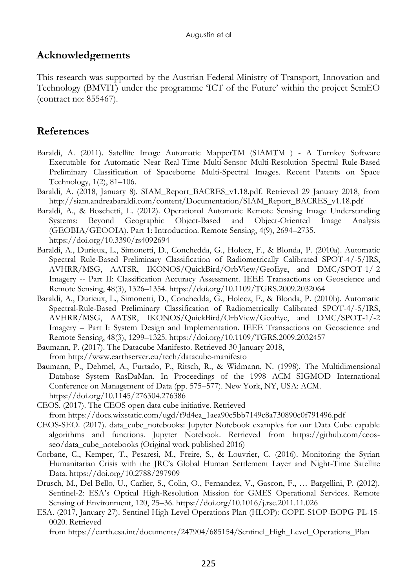## **Acknowledgements**

This research was supported by the Austrian Federal Ministry of Transport, Innovation and Technology (BMVIT) under the programme 'ICT of the Future' within the project SemEO (contract no: 855467).

## **References**

- Baraldi, A. (2011). Satellite Image Automatic MapperTM (SIAMTM ) A Turnkey Software Executable for Automatic Near Real-Time Multi-Sensor Multi-Resolution Spectral Rule-Based Preliminary Classification of Spaceborne Multi-Spectral Images. Recent Patents on Space Technology, 1(2), 81–106.
- Baraldi, A. (2018, January 8). SIAM\_Report\_BACRES\_v1.18.pdf. Retrieved 29 January 2018, from http://siam.andreabaraldi.com/content/Documentation/SIAM\_Report\_BACRES\_v1.18.pdf
- Baraldi, A., & Boschetti, L. (2012). Operational Automatic Remote Sensing Image Understanding Systems: Beyond Geographic Object-Based and Object-Oriented Image Analysis (GEOBIA/GEOOIA). Part 1: Introduction. Remote Sensing, 4(9), 2694–2735. https://doi.org/10.3390/rs4092694
- Baraldi, A., Durieux, L., Simonetti, D., Conchedda, G., Holecz, F., & Blonda, P. (2010a). Automatic Spectral Rule-Based Preliminary Classification of Radiometrically Calibrated SPOT-4/-5/IRS, AVHRR/MSG, AATSR, IKONOS/QuickBird/OrbView/GeoEye, and DMC/SPOT-1/-2 Imagery -- Part II: Classification Accuracy Assessment. IEEE Transactions on Geoscience and Remote Sensing, 48(3), 1326–1354. https://doi.org/10.1109/TGRS.2009.2032064
- Baraldi, A., Durieux, L., Simonetti, D., Conchedda, G., Holecz, F., & Blonda, P. (2010b). Automatic Spectral-Rule-Based Preliminary Classification of Radiometrically Calibrated SPOT-4/-5/IRS, AVHRR/MSG, AATSR, IKONOS/QuickBird/OrbView/GeoEye, and DMC/SPOT-1/-2 Imagery – Part I: System Design and Implementation. IEEE Transactions on Geoscience and Remote Sensing, 48(3), 1299–1325. https://doi.org/10.1109/TGRS.2009.2032457
- Baumann, P. (2017). The Datacube Manifesto. Retrieved 30 January 2018, from http://www.earthserver.eu/tech/datacube-manifesto
- Baumann, P., Dehmel, A., Furtado, P., Ritsch, R., & Widmann, N. (1998). The Multidimensional Database System RasDaMan. In Proceedings of the 1998 ACM SIGMOD International Conference on Management of Data (pp. 575–577). New York, NY, USA: ACM. https://doi.org/10.1145/276304.276386
- CEOS. (2017). The CEOS open data cube initiative. Retrieved from https://docs.wixstatic.com/ugd/f9d4ea\_1aea90c5bb7149c8a730890c0f791496.pdf
- CEOS-SEO. (2017). data\_cube\_notebooks: Jupyter Notebook examples for our Data Cube capable algorithms and functions. Jupyter Notebook. Retrieved from https://github.com/ceosseo/data\_cube\_notebooks (Original work published 2016)
- Corbane, C., Kemper, T., Pesaresi, M., Freire, S., & Louvrier, C. (2016). Monitoring the Syrian Humanitarian Crisis with the JRC's Global Human Settlement Layer and Night-Time Satellite Data. https://doi.org/10.2788/297909
- Drusch, M., Del Bello, U., Carlier, S., Colin, O., Fernandez, V., Gascon, F., … Bargellini, P. (2012). Sentinel-2: ESA's Optical High-Resolution Mission for GMES Operational Services. Remote Sensing of Environment, 120, 25–36. https://doi.org/10.1016/j.rse.2011.11.026
- ESA. (2017, January 27). Sentinel High Level Operations Plan (HLOP): COPE-S1OP-EOPG-PL-15- 0020. Retrieved

from https://earth.esa.int/documents/247904/685154/Sentinel\_High\_Level\_Operations\_Plan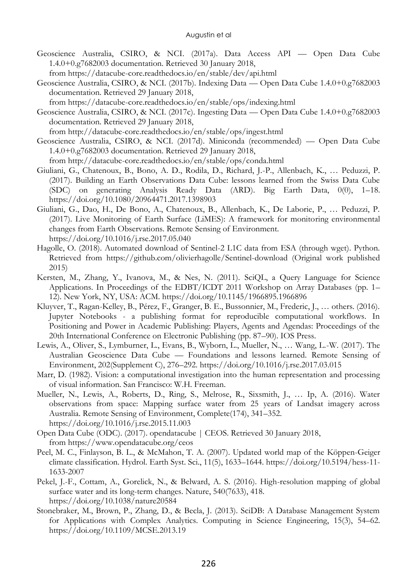- Geoscience Australia, CSIRO, & NCI. (2017a). Data Access API Open Data Cube 1.4.0+0.g7682003 documentation. Retrieved 30 January 2018, from https://datacube-core.readthedocs.io/en/stable/dev/api.html
- Geoscience Australia, CSIRO, & NCI. (2017b). Indexing Data Open Data Cube 1.4.0+0.g7682003 documentation. Retrieved 29 January 2018,
- from https://datacube-core.readthedocs.io/en/stable/ops/indexing.html
- Geoscience Australia, CSIRO, & NCI. (2017c). Ingesting Data Open Data Cube 1.4.0+0.g7682003 documentation. Retrieved 29 January 2018,

from http://datacube-core.readthedocs.io/en/stable/ops/ingest.html

Geoscience Australia, CSIRO, & NCI. (2017d). Miniconda (recommended) — Open Data Cube 1.4.0+0.g7682003 documentation. Retrieved 29 January 2018,

from http://datacube-core.readthedocs.io/en/stable/ops/conda.html

- Giuliani, G., Chatenoux, B., Bono, A. D., Rodila, D., Richard, J.-P., Allenbach, K., … Peduzzi, P. (2017). Building an Earth Observations Data Cube: lessons learned from the Swiss Data Cube (SDC) on generating Analysis Ready Data (ARD). Big Earth Data, 0(0), 1–18. https://doi.org/10.1080/20964471.2017.1398903
- Giuliani, G., Dao, H., De Bono, A., Chatenoux, B., Allenbach, K., De Laborie, P., … Peduzzi, P. (2017). Live Monitoring of Earth Surface (LiMES): A framework for monitoring environmental changes from Earth Observations. Remote Sensing of Environment. https://doi.org/10.1016/j.rse.2017.05.040
- Hagolle, O. (2018). Automated download of Sentinel-2 L1C data from ESA (through wget). Python. Retrieved from https://github.com/olivierhagolle/Sentinel-download (Original work published 2015)
- Kersten, M., Zhang, Y., Ivanova, M., & Nes, N. (2011). SciQL, a Query Language for Science Applications. In Proceedings of the EDBT/ICDT 2011 Workshop on Array Databases (pp. 1– 12). New York, NY, USA: ACM. https://doi.org/10.1145/1966895.1966896
- Kluyver, T., Ragan-Kelley, B., Pérez, F., Granger, B. E., Bussonnier, M., Frederic, J., … others. (2016). Jupyter Notebooks - a publishing format for reproducible computational workflows. In Positioning and Power in Academic Publishing: Players, Agents and Agendas: Proceedings of the 20th International Conference on Electronic Publishing (pp. 87–90). IOS Press.
- Lewis, A., Oliver, S., Lymburner, L., Evans, B., Wyborn, L., Mueller, N., … Wang, L.-W. (2017). The Australian Geoscience Data Cube — Foundations and lessons learned. Remote Sensing of Environment, 202(Supplement C), 276–292. https://doi.org/10.1016/j.rse.2017.03.015
- Marr, D. (1982). Vision: a computational investigation into the human representation and processing of visual information. San Francisco: W.H. Freeman.
- Mueller, N., Lewis, A., Roberts, D., Ring, S., Melrose, R., Sixsmith, J., … Ip, A. (2016). Water observations from space: Mapping surface water from 25 years of Landsat imagery across Australia. Remote Sensing of Environment, Complete(174), 341–352. https://doi.org/10.1016/j.rse.2015.11.003
- Open Data Cube (ODC). (2017). opendatacube | CEOS. Retrieved 30 January 2018, from https://www.opendatacube.org/ceos
- Peel, M. C., Finlayson, B. L., & McMahon, T. A. (2007). Updated world map of the Köppen-Geiger climate classification. Hydrol. Earth Syst. Sci., 11(5), 1633–1644. https://doi.org/10.5194/hess-11- 1633-2007
- Pekel, J.-F., Cottam, A., Gorelick, N., & Belward, A. S. (2016). High-resolution mapping of global surface water and its long-term changes. Nature, 540(7633), 418. https://doi.org/10.1038/nature20584
- Stonebraker, M., Brown, P., Zhang, D., & Becla, J. (2013). SciDB: A Database Management System for Applications with Complex Analytics. Computing in Science Engineering, 15(3), 54–62. https://doi.org/10.1109/MCSE.2013.19